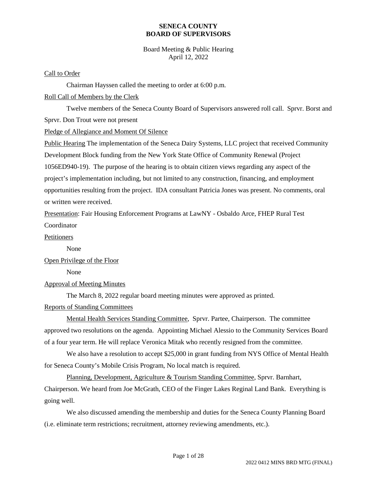## Board Meeting & Public Hearing April 12, 2022

#### Call to Order

Chairman Hayssen called the meeting to order at 6:00 p.m.

## Roll Call of Members by the Clerk

Twelve members of the Seneca County Board of Supervisors answered roll call. Sprvr. Borst and Sprvr. Don Trout were not present

Pledge of Allegiance and Moment Of Silence

Public Hearing The implementation of the Seneca Dairy Systems, LLC project that received Community Development Block funding from the New York State Office of Community Renewal (Project 1056ED940-19). The purpose of the hearing is to obtain citizen views regarding any aspect of the project's implementation including, but not limited to any construction, financing, and employment opportunities resulting from the project. IDA consultant Patricia Jones was present. No comments, oral or written were received.

Presentation: Fair Housing Enforcement Programs at LawNY - Osbaldo Arce, FHEP Rural Test Coordinator

## Petitioners

None

# Open Privilege of the Floor

None

# Approval of Meeting Minutes

The March 8, 2022 regular board meeting minutes were approved as printed.

## Reports of Standing Committees

Mental Health Services Standing Committee, Sprvr. Partee, Chairperson. The committee approved two resolutions on the agenda. Appointing Michael Alessio to the Community Services Board of a four year term. He will replace Veronica Mitak who recently resigned from the committee.

We also have a resolution to accept \$25,000 in grant funding from NYS Office of Mental Health for Seneca County's Mobile Crisis Program, No local match is required.

Planning, Development, Agriculture & Tourism Standing Committee, Sprvr. Barnhart, Chairperson. We heard from Joe McGrath, CEO of the Finger Lakes Reginal Land Bank. Everything is going well.

We also discussed amending the membership and duties for the Seneca County Planning Board (i.e. eliminate term restrictions; recruitment, attorney reviewing amendments, etc.).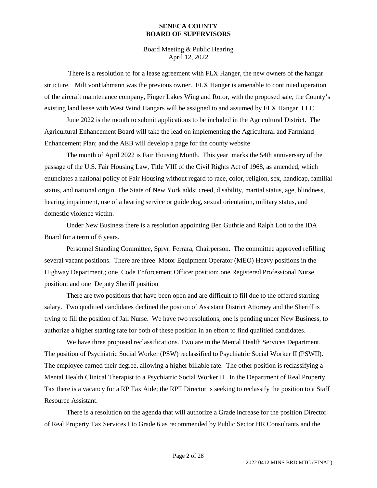Board Meeting & Public Hearing April 12, 2022

There is a resolution to for a lease agreement with FLX Hanger, the new owners of the hangar structure. Milt vonHahmann was the previous owner. FLX Hanger is amenable to continued operation of the aircraft maintenance company, Finger Lakes Wing and Rotor, with the proposed sale, the County's existing land lease with West Wind Hangars will be assigned to and assumed by FLX Hangar, LLC.

June 2022 is the month to submit applications to be included in the Agricultural District. The Agricultural Enhancement Board will take the lead on implementing the Agricultural and Farmland Enhancement Plan; and the AEB will develop a page for the county website

The month of April 2022 is Fair Housing Month. This year marks the 54th anniversary of the passage of the U.S. Fair Housing Law, Title VIII of the Civil Rights Act of 1968, as amended, which enunciates a national policy of Fair Housing without regard to race, color, religion, sex, handicap, familial status, and national origin. The State of New York adds: creed, disability, marital status, age, blindness, hearing impairment, use of a hearing service or guide dog, sexual orientation, military status, and domestic violence victim.

Under New Business there is a resolution appointing Ben Guthrie and Ralph Lott to the IDA Board for a term of 6 years.

Personnel Standing Committee, Sprvr. Ferrara, Chairperson. The committee approved refilling several vacant positions. There are three Motor Equipment Operator (MEO) Heavy positions in the Highway Department.; one Code Enforcement Officer position; one Registered Professional Nurse position; and one Deputy Sheriff position

There are two positions that have been open and are difficult to fill due to the offered starting salary. Two qualitied candidates declined the positon of Assistant District Attorney and the Sheriff is trying to fill the position of Jail Nurse. We have two resolutions, one is pending under New Business, to authorize a higher starting rate for both of these position in an effort to find qualitied candidates.

We have three proposed reclassifications. Two are in the Mental Health Services Department. The position of Psychiatric Social Worker (PSW) reclassified to Psychiatric Social Worker II (PSWII). The employee earned their degree, allowing a higher billable rate. The other position is reclassifying a Mental Health Clinical Therapist to a Psychiatric Social Worker II. In the Department of Real Property Tax there is a vacancy for a RP Tax Aide; the RPT Director is seeking to reclassify the position to a Staff Resource Assistant.

There is a resolution on the agenda that will authorize a Grade increase for the position Director of Real Property Tax Services I to Grade 6 as recommended by Public Sector HR Consultants and the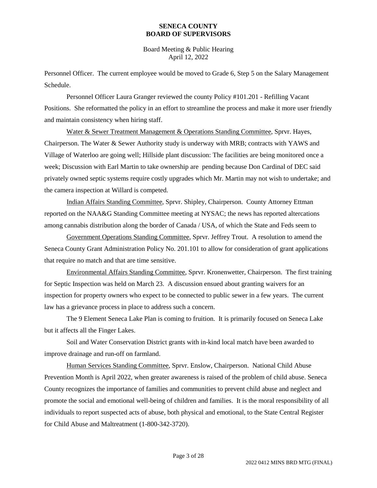Board Meeting & Public Hearing April 12, 2022

Personnel Officer. The current employee would be moved to Grade 6, Step 5 on the Salary Management Schedule.

Personnel Officer Laura Granger reviewed the county Policy #101.201 - Refilling Vacant Positions. She reformatted the policy in an effort to streamline the process and make it more user friendly and maintain consistency when hiring staff.

Water & Sewer Treatment Management & Operations Standing Committee, Sprvr. Hayes, Chairperson. The Water & Sewer Authority study is underway with MRB; contracts with YAWS and Village of Waterloo are going well; Hillside plant discussion: The facilities are being monitored once a week; Discussion with Earl Martin to take ownership are pending because Don Cardinal of DEC said privately owned septic systems require costly upgrades which Mr. Martin may not wish to undertake; and the camera inspection at Willard is competed.

Indian Affairs Standing Committee, Sprvr. Shipley, Chairperson. County Attorney Ettman reported on the NAA&G Standing Committee meeting at NYSAC; the news has reported altercations among cannabis distribution along the border of Canada / USA, of which the State and Feds seem to

Government Operations Standing Committee, Sprvr. Jeffrey Trout. A resolution to amend the Seneca County Grant Administration Policy No. 201.101 to allow for consideration of grant applications that require no match and that are time sensitive.

Environmental Affairs Standing Committee, Sprvr. Kronenwetter, Chairperson. The first training for Septic Inspection was held on March 23. A discussion ensued about granting waivers for an inspection for property owners who expect to be connected to public sewer in a few years. The current law has a grievance process in place to address such a concern.

The 9 Element Seneca Lake Plan is coming to fruition. It is primarily focused on Seneca Lake but it affects all the Finger Lakes.

Soil and Water Conservation District grants with in-kind local match have been awarded to improve drainage and run-off on farmland.

Human Services Standing Committee, Sprvr. Enslow, Chairperson. National Child Abuse Prevention Month is April 2022, when greater awareness is raised of the problem of child abuse. Seneca County recognizes the importance of families and communities to prevent child abuse and neglect and promote the social and emotional well-being of children and families. It is the moral responsibility of all individuals to report suspected acts of abuse, both physical and emotional, to the State Central Register for Child Abuse and Maltreatment (1-800-342-3720).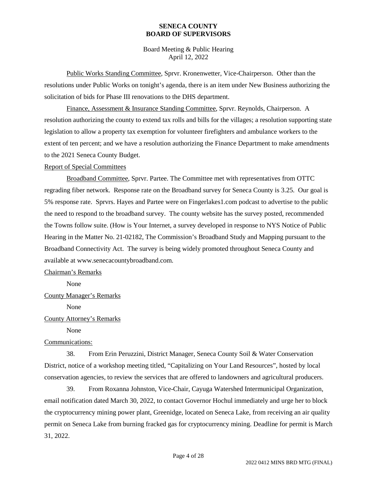Board Meeting & Public Hearing April 12, 2022

Public Works Standing Committee, Sprvr. Kronenwetter, Vice-Chairperson. Other than the resolutions under Public Works on tonight's agenda, there is an item under New Business authorizing the solicitation of bids for Phase III renovations to the DHS department.

Finance, Assessment & Insurance Standing Committee, Sprvr. Reynolds, Chairperson. A resolution authorizing the county to extend tax rolls and bills for the villages; a resolution supporting state legislation to allow a property tax exemption for volunteer firefighters and ambulance workers to the extent of ten percent; and we have a resolution authorizing the Finance Department to make amendments to the 2021 Seneca County Budget.

#### Report of Special Committees

Broadband Committee, Sprvr. Partee. The Committee met with representatives from OTTC regrading fiber network. Response rate on the Broadband survey for Seneca County is 3.25. Our goal is 5% response rate. Sprvrs. Hayes and Partee were on Fingerlakes1.com podcast to advertise to the public the need to respond to the broadband survey. The county website has the survey posted, recommended the Towns follow suite. (How is Your Internet, a survey developed in response to NYS Notice of Public Hearing in the Matter No. 21-02182, The Commission's Broadband Study and Mapping pursuant to the Broadband Connectivity Act. The survey is being widely promoted throughout Seneca County and available at www.senecacountybroadband.com.

#### Chairman's Remarks

None

## County Manager's Remarks

None

#### County Attorney's Remarks

None

## Communications:

38. From Erin Peruzzini, District Manager, Seneca County Soil & Water Conservation District, notice of a workshop meeting titled, "Capitalizing on Your Land Resources", hosted by local conservation agencies, to review the services that are offered to landowners and agricultural producers.

39. From Roxanna Johnston, Vice-Chair, Cayuga Watershed Intermunicipal Organization, email notification dated March 30, 2022, to contact Governor Hochul immediately and urge her to block the cryptocurrency mining power plant, Greenidge, located on Seneca Lake, from receiving an air quality permit on Seneca Lake from burning fracked gas for cryptocurrency mining. Deadline for permit is March 31, 2022.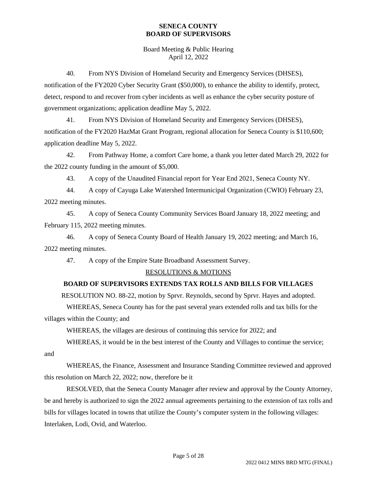Board Meeting & Public Hearing April 12, 2022

40. From NYS Division of Homeland Security and Emergency Services (DHSES), notification of the FY2020 Cyber Security Grant (\$50,000), to enhance the ability to identify, protect, detect, respond to and recover from cyber incidents as well as enhance the cyber security posture of government organizations; application deadline May 5, 2022.

41. From NYS Division of Homeland Security and Emergency Services (DHSES), notification of the FY2020 HazMat Grant Program, regional allocation for Seneca County is \$110,600; application deadline May 5, 2022.

42. From Pathway Home, a comfort Care home, a thank you letter dated March 29, 2022 for the 2022 county funding in the amount of \$5,000.

43. A copy of the Unaudited Financial report for Year End 2021, Seneca County NY.

44. A copy of Cayuga Lake Watershed Intermunicipal Organization (CWIO) February 23, 2022 meeting minutes.

45. A copy of Seneca County Community Services Board January 18, 2022 meeting; and February 115, 2022 meeting minutes.

46. A copy of Seneca County Board of Health January 19, 2022 meeting; and March 16, 2022 meeting minutes.

47. A copy of the Empire State Broadband Assessment Survey.

# RESOLUTIONS & MOTIONS

# **BOARD OF SUPERVISORS EXTENDS TAX ROLLS AND BILLS FOR VILLAGES**

RESOLUTION NO. 88-22, motion by Sprvr. Reynolds, second by Sprvr. Hayes and adopted.

WHEREAS, Seneca County has for the past several years extended rolls and tax bills for the villages within the County; and

WHEREAS, the villages are desirous of continuing this service for 2022; and

WHEREAS, it would be in the best interest of the County and Villages to continue the service;

and

WHEREAS, the Finance, Assessment and Insurance Standing Committee reviewed and approved this resolution on March 22, 2022; now, therefore be it

RESOLVED, that the Seneca County Manager after review and approval by the County Attorney, be and hereby is authorized to sign the 2022 annual agreements pertaining to the extension of tax rolls and bills for villages located in towns that utilize the County's computer system in the following villages: Interlaken, Lodi, Ovid, and Waterloo.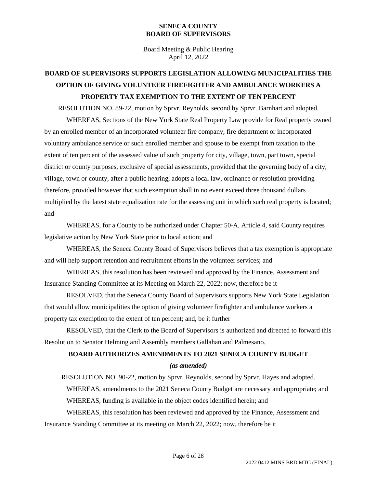Board Meeting & Public Hearing April 12, 2022

# **BOARD OF SUPERVISORS SUPPORTS LEGISLATION ALLOWING MUNICIPALITIES THE OPTION OF GIVING VOLUNTEER FIREFIGHTER AND AMBULANCE WORKERS A PROPERTY TAX EXEMPTION TO THE EXTENT OF TEN PERCENT**

RESOLUTION NO. 89-22, motion by Sprvr. Reynolds, second by Sprvr. Barnhart and adopted.

WHEREAS, Sections of the New York State Real Property Law provide for Real property owned by an enrolled member of an incorporated volunteer fire company, fire department or incorporated voluntary ambulance service or such enrolled member and spouse to be exempt from taxation to the extent of ten percent of the assessed value of such property for city, village, town, part town, special district or county purposes, exclusive of special assessments, provided that the governing body of a city, village, town or county, after a public hearing, adopts a local law, ordinance or resolution providing therefore, provided however that such exemption shall in no event exceed three thousand dollars multiplied by the latest state equalization rate for the assessing unit in which such real property is located; and

WHEREAS, for a County to be authorized under Chapter 50-A, Article 4, said County requires legislative action by New York State prior to local action; and

WHEREAS, the Seneca County Board of Supervisors believes that a tax exemption is appropriate and will help support retention and recruitment efforts in the volunteer services; and

WHEREAS, this resolution has been reviewed and approved by the Finance, Assessment and Insurance Standing Committee at its Meeting on March 22, 2022; now, therefore be it

RESOLVED, that the Seneca County Board of Supervisors supports New York State Legislation that would allow municipalities the option of giving volunteer firefighter and ambulance workers a property tax exemption to the extent of ten percent; and, be it further

RESOLVED, that the Clerk to the Board of Supervisors is authorized and directed to forward this Resolution to Senator Helming and Assembly members Gallahan and Palmesano.

## **BOARD AUTHORIZES AMENDMENTS TO 2021 SENECA COUNTY BUDGET**

#### *(as amended)*

RESOLUTION NO. 90-22, motion by Sprvr. Reynolds, second by Sprvr. Hayes and adopted.

WHEREAS, amendments to the 2021 Seneca County Budget are necessary and appropriate; and

WHEREAS, funding is available in the object codes identified herein; and

WHEREAS, this resolution has been reviewed and approved by the Finance, Assessment and Insurance Standing Committee at its meeting on March 22, 2022; now, therefore be it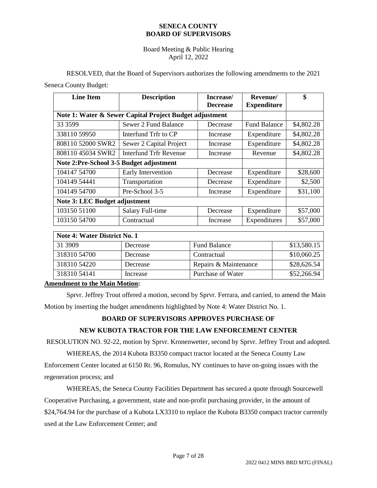## Board Meeting & Public Hearing April 12, 2022

RESOLVED, that the Board of Supervisors authorizes the following amendments to the 2021 Seneca County Budget:

| <b>Line Item</b>                                        | <b>Description</b>      | Increase/<br><b>Decrease</b> | Revenue/<br><b>Expenditure</b> | \$         |
|---------------------------------------------------------|-------------------------|------------------------------|--------------------------------|------------|
| Note 1: Water & Sewer Capital Project Budget adjustment |                         |                              |                                |            |
| 33 35 99                                                | Sewer 2 Fund Balance    | Decrease                     | <b>Fund Balance</b>            | \$4,802.28 |
| 338110 59950                                            | Interfund Trfr to CP    | Increase                     | Expenditure                    | \$4,802.28 |
| 808110 52000 SWR2                                       | Sewer 2 Capital Project | Increase                     | Expenditure                    | \$4,802.28 |
| 808110 45034 SWR2                                       | Interfund Trfr Revenue  | Increase                     | Revenue                        | \$4,802.28 |
| Note 2:Pre-School 3-5 Budget adjustment                 |                         |                              |                                |            |
| 104147 54700                                            | Early Intervention      | Decrease                     | Expenditure                    | \$28,600   |
| 104149 54441                                            | Transportation          | Decrease                     | Expenditure                    | \$2,500    |
| 104149 54700                                            | Pre-School 3-5          | Increase                     | Expenditure                    | \$31,100   |
| Note 3: LEC Budget adjustment                           |                         |                              |                                |            |
| 103150 51100                                            | Salary Full-time        | Decrease                     | Expenditure                    | \$57,000   |
| 103150 54700                                            | Contractual             | Increase                     | Expenditures                   | \$57,000   |

| Note 4: Water District No. 1 |          |                       |             |
|------------------------------|----------|-----------------------|-------------|
| 31 3909                      | Decrease | <b>Fund Balance</b>   | \$13,580.15 |
| 318310 54700                 | Decrease | Contractual           | \$10,060.25 |
| 318310 54220                 | Decrease | Repairs & Maintenance | \$28,626.54 |
| 31831054141                  | Increase | Purchase of Water     | \$52,266.94 |

## **Amendment to the Main Motion:**

Sprvr. Jeffrey Trout offered a motion, second by Sprvr. Ferrara, and carried, to amend the Main Motion by inserting the budget amendments highlighted by Note 4: Water District No. 1.

# **BOARD OF SUPERVISORS APPROVES PURCHASE OF**

# **NEW KUBOTA TRACTOR FOR THE LAW ENFORCEMENT CENTER**

RESOLUTION NO. 92-22, motion by Sprvr. Kronenwetter, second by Sprvr. Jeffrey Trout and adopted.

WHEREAS, the 2014 Kubota B3350 compact tractor located at the Seneca County Law Enforcement Center located at 6150 Rt. 96, Romulus, NY continues to have on-going issues with the regeneration process; and

WHEREAS, the Seneca County Facilities Department has secured a quote through Sourcewell Cooperative Purchasing, a government, state and non-profit purchasing provider, in the amount of \$24,764.94 for the purchase of a Kubota LX3310 to replace the Kubota B3350 compact tractor currently used at the Law Enforcement Center; and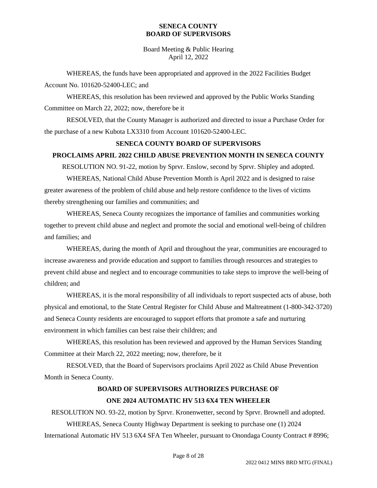Board Meeting & Public Hearing April 12, 2022

WHEREAS, the funds have been appropriated and approved in the 2022 Facilities Budget Account No. 101620-52400-LEC; and

WHEREAS, this resolution has been reviewed and approved by the Public Works Standing Committee on March 22, 2022; now, therefore be it

RESOLVED, that the County Manager is authorized and directed to issue a Purchase Order for the purchase of a new Kubota LX3310 from Account 101620-52400-LEC.

## **SENECA COUNTY BOARD OF SUPERVISORS**

## **PROCLAIMS APRIL 2022 CHILD ABUSE PREVENTION MONTH IN SENECA COUNTY**

RESOLUTION NO. 91-22, motion by Sprvr. Enslow, second by Sprvr. Shipley and adopted.

WHEREAS, National Child Abuse Prevention Month is April 2022 and is designed to raise greater awareness of the problem of child abuse and help restore confidence to the lives of victims thereby strengthening our families and communities; and

WHEREAS, Seneca County recognizes the importance of families and communities working together to prevent child abuse and neglect and promote the social and emotional well-being of children and families; and

WHEREAS, during the month of April and throughout the year, communities are encouraged to increase awareness and provide education and support to families through resources and strategies to prevent child abuse and neglect and to encourage communities to take steps to improve the well-being of children; and

WHEREAS, it is the moral responsibility of all individuals to report suspected acts of abuse, both physical and emotional, to the State Central Register for Child Abuse and Maltreatment (1-800-342-3720) and Seneca County residents are encouraged to support efforts that promote a safe and nurturing environment in which families can best raise their children; and

WHEREAS, this resolution has been reviewed and approved by the Human Services Standing Committee at their March 22, 2022 meeting; now, therefore, be it

RESOLVED, that the Board of Supervisors proclaims April 2022 as Child Abuse Prevention Month in Seneca County.

# **BOARD OF SUPERVISORS AUTHORIZES PURCHASE OF ONE 2024 AUTOMATIC HV 513 6X4 TEN WHEELER**

RESOLUTION NO. 93-22, motion by Sprvr. Kronenwetter, second by Sprvr. Brownell and adopted.

WHEREAS, Seneca County Highway Department is seeking to purchase one (1) 2024 International Automatic HV 513 6X4 SFA Ten Wheeler, pursuant to Onondaga County Contract # 8996;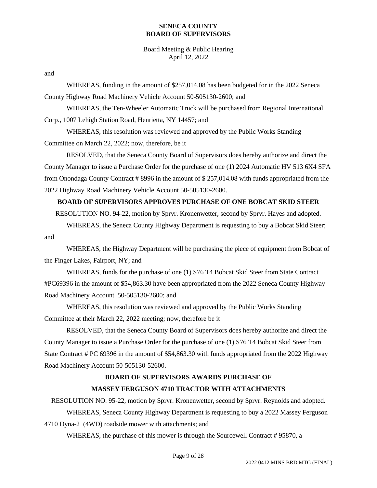Board Meeting & Public Hearing April 12, 2022

and

WHEREAS, funding in the amount of \$257,014.08 has been budgeted for in the 2022 Seneca County Highway Road Machinery Vehicle Account 50-505130-2600; and

WHEREAS, the Ten-Wheeler Automatic Truck will be purchased from Regional International Corp., 1007 Lehigh Station Road, Henrietta, NY 14457; and

WHEREAS, this resolution was reviewed and approved by the Public Works Standing Committee on March 22, 2022; now, therefore, be it

RESOLVED, that the Seneca County Board of Supervisors does hereby authorize and direct the County Manager to issue a Purchase Order for the purchase of one (1) 2024 Automatic HV 513 6X4 SFA from Onondaga County Contract # 8996 in the amount of \$ 257,014.08 with funds appropriated from the 2022 Highway Road Machinery Vehicle Account 50-505130-2600.

# **BOARD OF SUPERVISORS APPROVES PURCHASE OF ONE BOBCAT SKID STEER**

RESOLUTION NO. 94-22, motion by Sprvr. Kronenwetter, second by Sprvr. Hayes and adopted.

WHEREAS, the Seneca County Highway Department is requesting to buy a Bobcat Skid Steer; and

WHEREAS, the Highway Department will be purchasing the piece of equipment from Bobcat of the Finger Lakes, Fairport, NY; and

WHEREAS, funds for the purchase of one (1) S76 T4 Bobcat Skid Steer from State Contract #PC69396 in the amount of \$54,863.30 have been appropriated from the 2022 Seneca County Highway Road Machinery Account 50-505130-2600; and

WHEREAS, this resolution was reviewed and approved by the Public Works Standing Committee at their March 22, 2022 meeting; now, therefore be it

RESOLVED, that the Seneca County Board of Supervisors does hereby authorize and direct the County Manager to issue a Purchase Order for the purchase of one (1) S76 T4 Bobcat Skid Steer from State Contract # PC 69396 in the amount of \$54,863.30 with funds appropriated from the 2022 Highway Road Machinery Account 50-505130-52600.

## **BOARD OF SUPERVISORS AWARDS PURCHASE OF**

## **MASSEY FERGUSON 4710 TRACTOR WITH ATTACHMENTS**

RESOLUTION NO. 95-22, motion by Sprvr. Kronenwetter, second by Sprvr. Reynolds and adopted.

WHEREAS, Seneca County Highway Department is requesting to buy a 2022 Massey Ferguson 4710 Dyna-2 (4WD) roadside mower with attachments; and

WHEREAS, the purchase of this mower is through the Sourcewell Contract # 95870, a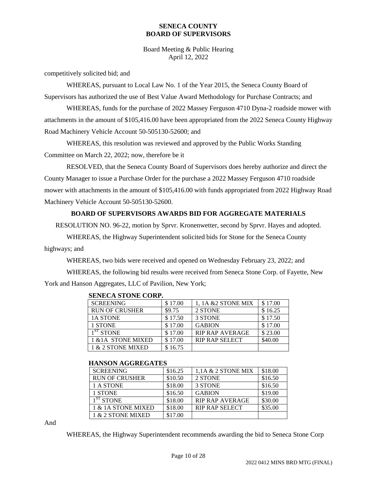Board Meeting & Public Hearing April 12, 2022

competitively solicited bid; and

WHEREAS, pursuant to Local Law No. 1 of the Year 2015, the Seneca County Board of Supervisors has authorized the use of Best Value Award Methodology for Purchase Contracts; and

WHEREAS, funds for the purchase of 2022 Massey Ferguson 4710 Dyna-2 roadside mower with attachments in the amount of \$105,416.00 have been appropriated from the 2022 Seneca County Highway Road Machinery Vehicle Account 50-505130-52600; and

WHEREAS, this resolution was reviewed and approved by the Public Works Standing Committee on March 22, 2022; now, therefore be it

RESOLVED, that the Seneca County Board of Supervisors does hereby authorize and direct the County Manager to issue a Purchase Order for the purchase a 2022 Massey Ferguson 4710 roadside mower with attachments in the amount of \$105,416.00 with funds appropriated from 2022 Highway Road Machinery Vehicle Account 50-505130-52600.

# **BOARD OF SUPERVISORS AWARDS BID FOR AGGREGATE MATERIALS**

RESOLUTION NO. 96-22, motion by Sprvr. Kronenwetter, second by Sprvr. Hayes and adopted.

WHEREAS, the Highway Superintendent solicited bids for Stone for the Seneca County highways; and

WHEREAS, two bids were received and opened on Wednesday February 23, 2022; and

WHEREAS, the following bid results were received from Seneca Stone Corp. of Fayette, New York and Hanson Aggregates, LLC of Pavilion, New York;

| <u>DER DOIT DE VITE VOIM 1</u> |         |                        |         |
|--------------------------------|---------|------------------------|---------|
| <b>SCREENING</b>               | \$17.00 | 1.1A & 2 STONE MIX     | \$17.00 |
| <b>RUN OF CRUSHER</b>          | \$9.75  | 2 STONE                | \$16.25 |
| <b>1A STONE</b>                | \$17.50 | 3 STONE                | \$17.50 |
| 1 STONE                        | \$17.00 | <b>GABION</b>          | \$17.00 |
| $1ST$ STONE                    | \$17.00 | <b>RIP RAP AVERAGE</b> | \$23.00 |
| 1 & 1A STONE MIXED             | \$17.00 | <b>RIP RAP SELECT</b>  | \$40.00 |
| 1 & 2 STONE MIXED              | \$16.75 |                        |         |

## **SENECA STONE CORP.**

#### **HANSON AGGREGATES**

| <b>SCREENING</b>      | \$16.25 | $1.1A \& 2$ STONE MIX  | \$18.00 |
|-----------------------|---------|------------------------|---------|
| <b>RUN OF CRUSHER</b> | \$10.50 | 2 STONE                | \$16.50 |
| 1 A STONE             | \$18.00 | 3 STONE                | \$16.50 |
| 1 STONE               | \$16.50 | <b>GABION</b>          | \$19.00 |
| $1ST$ STONE           | \$18.00 | <b>RIP RAP AVERAGE</b> | \$30.00 |
| 1 & 1A STONE MIXED    | \$18.00 | <b>RIP RAP SELECT</b>  | \$35.00 |
| 1 & 2 STONE MIXED     | \$17.00 |                        |         |

And

WHEREAS, the Highway Superintendent recommends awarding the bid to Seneca Stone Corp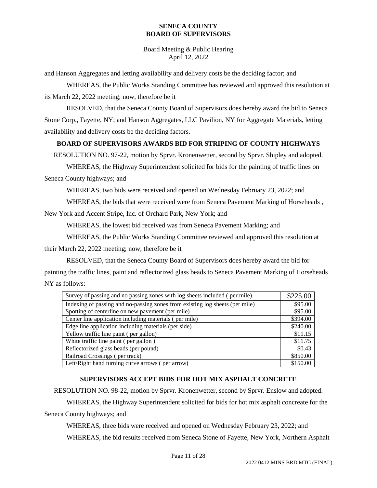Board Meeting & Public Hearing April 12, 2022

and Hanson Aggregates and letting availability and delivery costs be the deciding factor; and

WHEREAS, the Public Works Standing Committee has reviewed and approved this resolution at its March 22, 2022 meeting; now, therefore be it

RESOLVED, that the Seneca County Board of Supervisors does hereby award the bid to Seneca Stone Corp., Fayette, NY; and Hanson Aggregates, LLC Pavilion, NY for Aggregate Materials, letting availability and delivery costs be the deciding factors.

# **BOARD OF SUPERVISORS AWARDS BID FOR STRIPING OF COUNTY HIGHWAYS**

RESOLUTION NO. 97-22, motion by Sprvr. Kronenwetter, second by Sprvr. Shipley and adopted.

WHEREAS, the Highway Superintendent solicited for bids for the painting of traffic lines on Seneca County highways; and

WHEREAS, two bids were received and opened on Wednesday February 23, 2022; and

WHEREAS, the bids that were received were from Seneca Pavement Marking of Horseheads ,

New York and Accent Stripe, Inc. of Orchard Park, New York; and

WHEREAS, the lowest bid received was from Seneca Pavement Marking; and

WHEREAS, the Public Works Standing Committee reviewed and approved this resolution at

their March 22, 2022 meeting; now, therefore be it

RESOLVED, that the Seneca County Board of Supervisors does hereby award the bid for painting the traffic lines, paint and reflectorized glass beads to Seneca Pavement Marking of Horseheads NY as follows:

| Survey of passing and no passing zones with log sheets included (per mile)   |          |
|------------------------------------------------------------------------------|----------|
| Indexing of passing and no-passing zones from existing log sheets (per mile) |          |
| Spotting of centerline on new pavement (per mile)                            | \$95.00  |
| Center line application including materials (per mile)                       | \$394.00 |
| Edge line application including materials (per side)                         |          |
| Yellow traffic line paint (per gallon)                                       |          |
| White traffic line paint (per gallon)                                        |          |
| Reflectorized glass beads (per pound)                                        |          |
| Railroad Crossings (per track)                                               |          |
| Left/Right hand turning curve arrows (per arrow)                             |          |

# **SUPERVISORS ACCEPT BIDS FOR HOT MIX ASPHALT CONCRETE**

RESOLUTION NO. 98-22, motion by Sprvr. Kronenwetter, second by Sprvr. Enslow and adopted.

WHEREAS, the Highway Superintendent solicited for bids for hot mix asphalt concreate for the Seneca County highways; and

WHEREAS, three bids were received and opened on Wednesday February 23, 2022; and WHEREAS, the bid results received from Seneca Stone of Fayette, New York, Northern Asphalt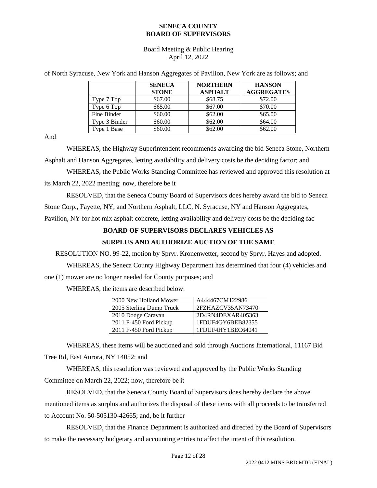Board Meeting & Public Hearing April 12, 2022

of North Syracuse, New York and Hanson Aggregates of Pavilion, New York are as follows; and

|               | <b>SENECA</b> | <b>NORTHERN</b> | <b>HANSON</b>     |
|---------------|---------------|-----------------|-------------------|
|               | <b>STONE</b>  | <b>ASPHALT</b>  | <b>AGGREGATES</b> |
| Type 7 Top    | \$67.00       | \$68.75         | \$72.00           |
| Type 6 Top    | \$65.00       | \$67.00         | \$70.00           |
| Fine Binder   | \$60.00       | \$62.00         | \$65.00           |
| Type 3 Binder | \$60.00       | \$62.00         | \$64.00           |
| Type 1 Base   | \$60.00       | \$62.00         | \$62.00           |

And

WHEREAS, the Highway Superintendent recommends awarding the bid Seneca Stone, Northern Asphalt and Hanson Aggregates, letting availability and delivery costs be the deciding factor; and

WHEREAS, the Public Works Standing Committee has reviewed and approved this resolution at its March 22, 2022 meeting; now, therefore be it

RESOLVED, that the Seneca County Board of Supervisors does hereby award the bid to Seneca

Stone Corp., Fayette, NY, and Northern Asphalt, LLC, N. Syracuse, NY and Hanson Aggregates,

Pavilion, NY for hot mix asphalt concrete, letting availability and delivery costs be the deciding fac

# **BOARD OF SUPERVISORS DECLARES VEHICLES AS**

## **SURPLUS AND AUTHORIZE AUCTION OF THE SAME**

RESOLUTION NO. 99-22, motion by Sprvr. Kronenwetter, second by Sprvr. Hayes and adopted.

WHEREAS, the Seneca County Highway Department has determined that four (4) vehicles and one (1) mower are no longer needed for County purposes; and

WHEREAS, the items are described below:

| 2000 New Holland Mower   | A444467CM122986   |  |  |
|--------------------------|-------------------|--|--|
| 2005 Sterling Dump Truck | 2FZHAZCV35AN73470 |  |  |
| 2010 Dodge Caravan       | 2D4RN4DEXAR405363 |  |  |
| 2011 F-450 Ford Pickup   | 1FDUF4GY6BEB82355 |  |  |
| 2011 F-450 Ford Pickup   | 1FDUF4HY1BEC64041 |  |  |

WHEREAS, these items will be auctioned and sold through Auctions International, 11167 Bid Tree Rd, East Aurora, NY 14052; and

WHEREAS, this resolution was reviewed and approved by the Public Works Standing Committee on March 22, 2022; now, therefore be it

RESOLVED, that the Seneca County Board of Supervisors does hereby declare the above mentioned items as surplus and authorizes the disposal of these items with all proceeds to be transferred to Account No. 50-505130-42665; and, be it further

RESOLVED, that the Finance Department is authorized and directed by the Board of Supervisors to make the necessary budgetary and accounting entries to affect the intent of this resolution.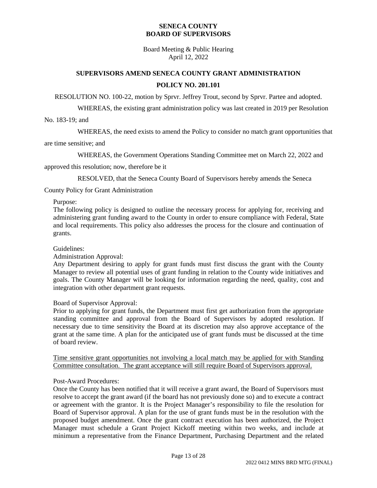Board Meeting & Public Hearing April 12, 2022

# **SUPERVISORS AMEND SENECA COUNTY GRANT ADMINISTRATION POLICY NO. 201.101**

RESOLUTION NO. 100-22, motion by Sprvr. Jeffrey Trout, second by Sprvr. Partee and adopted.

WHEREAS, the existing grant administration policy was last created in 2019 per Resolution

No. 183-19; and

WHEREAS, the need exists to amend the Policy to consider no match grant opportunities that

are time sensitive; and

WHEREAS, the Government Operations Standing Committee met on March 22, 2022 and

approved this resolution; now, therefore be it

RESOLVED, that the Seneca County Board of Supervisors hereby amends the Seneca

County Policy for Grant Administration

Purpose:

The following policy is designed to outline the necessary process for applying for, receiving and administering grant funding award to the County in order to ensure compliance with Federal, State and local requirements. This policy also addresses the process for the closure and continuation of grants.

Guidelines:

## Administration Approval:

Any Department desiring to apply for grant funds must first discuss the grant with the County Manager to review all potential uses of grant funding in relation to the County wide initiatives and goals. The County Manager will be looking for information regarding the need, quality, cost and integration with other department grant requests.

Board of Supervisor Approval:

Prior to applying for grant funds, the Department must first get authorization from the appropriate standing committee and approval from the Board of Supervisors by adopted resolution. If necessary due to time sensitivity the Board at its discretion may also approve acceptance of the grant at the same time. A plan for the anticipated use of grant funds must be discussed at the time of board review.

Time sensitive grant opportunities not involving a local match may be applied for with Standing Committee consultation. The grant acceptance will still require Board of Supervisors approval.

## Post-Award Procedures:

Once the County has been notified that it will receive a grant award, the Board of Supervisors must resolve to accept the grant award (if the board has not previously done so) and to execute a contract or agreement with the grantor. It is the Project Manager's responsibility to file the resolution for Board of Supervisor approval. A plan for the use of grant funds must be in the resolution with the proposed budget amendment. Once the grant contract execution has been authorized, the Project Manager must schedule a Grant Project Kickoff meeting within two weeks, and include at minimum a representative from the Finance Department, Purchasing Department and the related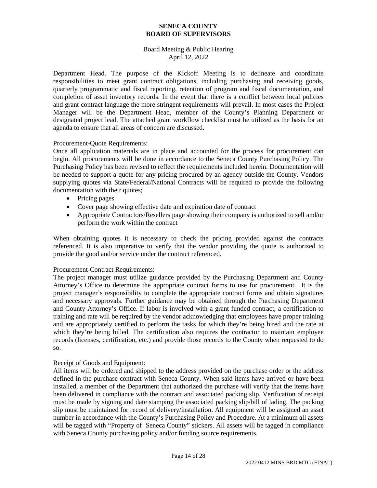## Board Meeting & Public Hearing April 12, 2022

Department Head. The purpose of the Kickoff Meeting is to delineate and coordinate responsibilities to meet grant contract obligations, including purchasing and receiving goods, quarterly programmatic and fiscal reporting, retention of program and fiscal documentation, and completion of asset inventory records. In the event that there is a conflict between local policies and grant contract language the more stringent requirements will prevail. In most cases the Project Manager will be the Department Head, member of the County's Planning Department or designated project lead. The attached grant workflow checklist must be utilized as the basis for an agenda to ensure that all areas of concern are discussed.

## Procurement-Quote Requirements:

Once all application materials are in place and accounted for the process for procurement can begin. All procurements will be done in accordance to the Seneca County Purchasing Policy. The Purchasing Policy has been revised to reflect the requirements included herein. Documentation will be needed to support a quote for any pricing procured by an agency outside the County. Vendors supplying quotes via State/Federal/National Contracts will be required to provide the following documentation with their quotes;

- Pricing pages
- Cover page showing effective date and expiration date of contract
- Appropriate Contractors/Resellers page showing their company is authorized to sell and/or perform the work within the contract

When obtaining quotes it is necessary to check the pricing provided against the contracts referenced. It is also imperative to verify that the vendor providing the quote is authorized to provide the good and/or service under the contract referenced.

## Procurement-Contract Requirements:

The project manager must utilize guidance provided by the Purchasing Department and County Attorney's Office to determine the appropriate contract forms to use for procurement. It is the project manager's responsibility to complete the appropriate contract forms and obtain signatures and necessary approvals. Further guidance may be obtained through the Purchasing Department and County Attorney's Office. If labor is involved with a grant funded contract, a certification to training and rate will be required by the vendor acknowledging that employees have proper training and are appropriately certified to perform the tasks for which they're being hired and the rate at which they're being billed. The certification also requires the contractor to maintain employee records (licenses, certification, etc.) and provide those records to the County when requested to do so.

## Receipt of Goods and Equipment:

All items will be ordered and shipped to the address provided on the purchase order or the address defined in the purchase contract with Seneca County. When said items have arrived or have been installed, a member of the Department that authorized the purchase will verify that the items have been delivered in compliance with the contract and associated packing slip. Verification of receipt must be made by signing and date stamping the associated packing slip/bill of lading. The packing slip must be maintained for record of delivery/installation. All equipment will be assigned an asset number in accordance with the County's Purchasing Policy and Procedure. At a minimum all assets will be tagged with "Property of Seneca County" stickers. All assets will be tagged in compliance with Seneca County purchasing policy and/or funding source requirements.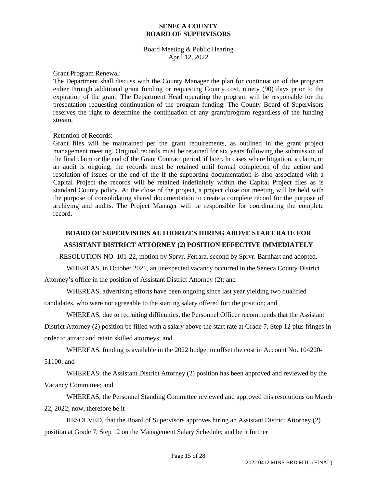## Board Meeting & Public Hearing April 12, 2022

#### Grant Program Renewal:

The Department shall discuss with the County Manager the plan for continuation of the program either through additional grant funding or requesting County cost, ninety (90) days prior to the expiration of the grant. The Department Head operating the program will be responsible for the presentation requesting continuation of the program funding. The County Board of Supervisors reserves the right to determine the continuation of any grant/program regardless of the funding stream.

## Retention of Records:

Grant files will be maintained per the grant requirements, as outlined in the grant project management meeting. Original records must be retained for six years following the submission of the final claim or the end of the Grant Contract period, if later. In cases where litigation, a claim, or an audit is ongoing, the records must be retained until formal completion of the action and resolution of issues or the end of the If the supporting documentation is also associated with a Capital Project the records will be retained indefinitely within the Capital Project files as is standard County policy. At the close of the project, a project close out meeting will be held with the purpose of consolidating shared documentation to create a complete record for the purpose of archiving and audits. The Project Manager will be responsible for coordinating the complete record.

# **BOARD OF SUPERVISORS AUTHORIZES HIRING ABOVE START RATE FOR**

## **ASSISTANT DISTRICT ATTORNEY (2) POSITION EFFECTIVE IMMEDIATELY**

RESOLUTION NO. 101-22, motion by Sprvr. Ferrara, second by Sprvr. Barnhart and adopted.

WHEREAS, in October 2021, an unexpected vacancy occurred in the Seneca County District

Attorney's office in the position of Assistant District Attorney (2); and

WHEREAS, advertising efforts have been ongoing since last year yielding two qualified

candidates, who were not agreeable to the starting salary offered fort the position; and

WHEREAS, due to recruiting difficulties, the Personnel Officer recommends that the Assistant District Attorney (2) position be filled with a salary above the start rate at Grade 7, Step 12 plus fringes in order to attract and retain skilled attorneys; and

WHEREAS, funding is available in the 2022 budget to offset the cost in Account No. 104220-

51100; and

WHEREAS, the Assistant District Attorney (2) position has been approved and reviewed by the Vacancy Committee; and

WHEREAS, the Personnel Standing Committee reviewed and approved this resolutions on March 22, 2022; now, therefore be it

RESOLVED, that the Board of Supervisors approves hiring an Assistant District Attorney (2) position at Grade 7, Step 12 on the Management Salary Schedule; and be it further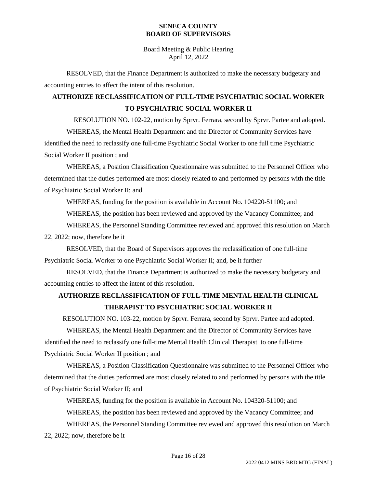Board Meeting & Public Hearing April 12, 2022

RESOLVED, that the Finance Department is authorized to make the necessary budgetary and accounting entries to affect the intent of this resolution.

# **AUTHORIZE RECLASSIFICATION OF FULL-TIME PSYCHIATRIC SOCIAL WORKER TO PSYCHIATRIC SOCIAL WORKER II**

RESOLUTION NO. 102-22, motion by Sprvr. Ferrara, second by Sprvr. Partee and adopted. WHEREAS, the Mental Health Department and the Director of Community Services have identified the need to reclassify one full-time Psychiatric Social Worker to one full time Psychiatric Social Worker II position ; and

WHEREAS, a Position Classification Questionnaire was submitted to the Personnel Officer who determined that the duties performed are most closely related to and performed by persons with the title of Psychiatric Social Worker II; and

WHEREAS, funding for the position is available in Account No. 104220-51100; and

WHEREAS, the position has been reviewed and approved by the Vacancy Committee; and

WHEREAS, the Personnel Standing Committee reviewed and approved this resolution on March 22, 2022; now, therefore be it

RESOLVED, that the Board of Supervisors approves the reclassification of one full-time Psychiatric Social Worker to one Psychiatric Social Worker II; and, be it further

RESOLVED, that the Finance Department is authorized to make the necessary budgetary and accounting entries to affect the intent of this resolution.

# **AUTHORIZE RECLASSIFICATION OF FULL-TIME MENTAL HEALTH CLINICAL THERAPIST TO PSYCHIATRIC SOCIAL WORKER II**

RESOLUTION NO. 103-22, motion by Sprvr. Ferrara, second by Sprvr. Partee and adopted.

WHEREAS, the Mental Health Department and the Director of Community Services have identified the need to reclassify one full-time Mental Health Clinical Therapist to one full-time Psychiatric Social Worker II position ; and

WHEREAS, a Position Classification Questionnaire was submitted to the Personnel Officer who determined that the duties performed are most closely related to and performed by persons with the title of Psychiatric Social Worker II; and

WHEREAS, funding for the position is available in Account No. 104320-51100; and WHEREAS, the position has been reviewed and approved by the Vacancy Committee; and WHEREAS, the Personnel Standing Committee reviewed and approved this resolution on March 22, 2022; now, therefore be it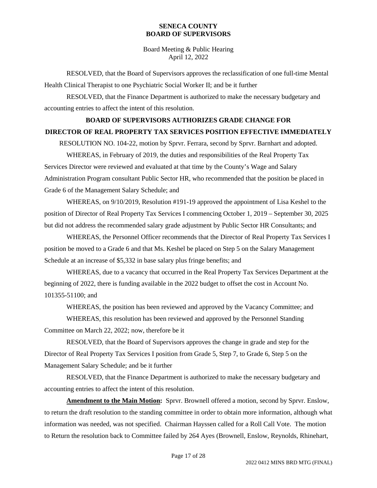Board Meeting & Public Hearing April 12, 2022

RESOLVED, that the Board of Supervisors approves the reclassification of one full-time Mental Health Clinical Therapist to one Psychiatric Social Worker II; and be it further

RESOLVED, that the Finance Department is authorized to make the necessary budgetary and accounting entries to affect the intent of this resolution.

# **BOARD OF SUPERVISORS AUTHORIZES GRADE CHANGE FOR DIRECTOR OF REAL PROPERTY TAX SERVICES POSITION EFFECTIVE IMMEDIATELY**

RESOLUTION NO. 104-22, motion by Sprvr. Ferrara, second by Sprvr. Barnhart and adopted.

WHEREAS, in February of 2019, the duties and responsibilities of the Real Property Tax Services Director were reviewed and evaluated at that time by the County's Wage and Salary Administration Program consultant Public Sector HR, who recommended that the position be placed in Grade 6 of the Management Salary Schedule; and

WHEREAS, on 9/10/2019, Resolution #191-19 approved the appointment of Lisa Keshel to the position of Director of Real Property Tax Services I commencing October 1, 2019 – September 30, 2025 but did not address the recommended salary grade adjustment by Public Sector HR Consultants; and

WHEREAS, the Personnel Officer recommends that the Director of Real Property Tax Services I position be moved to a Grade 6 and that Ms. Keshel be placed on Step 5 on the Salary Management Schedule at an increase of \$5,332 in base salary plus fringe benefits; and

WHEREAS, due to a vacancy that occurred in the Real Property Tax Services Department at the beginning of 2022, there is funding available in the 2022 budget to offset the cost in Account No. 101355-51100; and

WHEREAS, the position has been reviewed and approved by the Vacancy Committee; and

WHEREAS, this resolution has been reviewed and approved by the Personnel Standing Committee on March 22, 2022; now, therefore be it

RESOLVED, that the Board of Supervisors approves the change in grade and step for the Director of Real Property Tax Services I position from Grade 5, Step 7, to Grade 6, Step 5 on the Management Salary Schedule; and be it further

RESOLVED, that the Finance Department is authorized to make the necessary budgetary and accounting entries to affect the intent of this resolution.

**Amendment to the Main Motion:** Sprvr. Brownell offered a motion, second by Sprvr. Enslow, to return the draft resolution to the standing committee in order to obtain more information, although what information was needed, was not specified. Chairman Hayssen called for a Roll Call Vote. The motion to Return the resolution back to Committee failed by 264 Ayes (Brownell, Enslow, Reynolds, Rhinehart,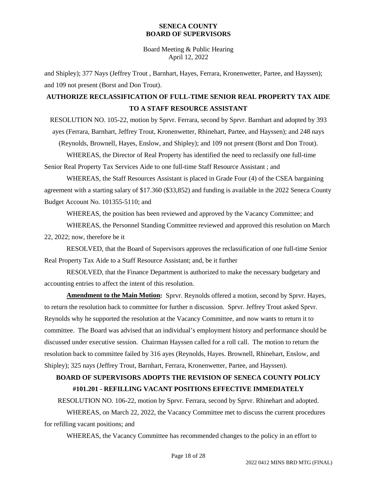Board Meeting & Public Hearing April 12, 2022

and Shipley); 377 Nays (Jeffrey Trout , Barnhart, Hayes, Ferrara, Kronenwetter, Partee, and Hayssen); and 109 not present (Borst and Don Trout).

# **AUTHORIZE RECLASSIFICATION OF FULL-TIME SENIOR REAL PROPERTY TAX AIDE TO A STAFF RESOURCE ASSISTANT**

RESOLUTION NO. 105-22, motion by Sprvr. Ferrara, second by Sprvr. Barnhart and adopted by 393 ayes (Ferrara, Barnhart, Jeffrey Trout, Kronenwetter, Rhinehart, Partee, and Hayssen); and 248 nays (Reynolds, Brownell, Hayes, Enslow, and Shipley); and 109 not present (Borst and Don Trout).

WHEREAS, the Director of Real Property has identified the need to reclassify one full-time Senior Real Property Tax Services Aide to one full-time Staff Resource Assistant ; and

WHEREAS, the Staff Resources Assistant is placed in Grade Four (4) of the CSEA bargaining agreement with a starting salary of \$17.360 (\$33,852) and funding is available in the 2022 Seneca County Budget Account No. 101355-5110; and

WHEREAS, the position has been reviewed and approved by the Vacancy Committee; and

WHEREAS, the Personnel Standing Committee reviewed and approved this resolution on March 22, 2022; now, therefore be it

RESOLVED, that the Board of Supervisors approves the reclassification of one full-time Senior Real Property Tax Aide to a Staff Resource Assistant; and, be it further

RESOLVED, that the Finance Department is authorized to make the necessary budgetary and accounting entries to affect the intent of this resolution.

**Amendment to the Main Motion:** Sprvr. Reynolds offered a motion, second by Sprvr. Hayes, to return the resolution back to committee for further n discussion. Sprvr. Jeffrey Trout asked Sprvr. Reynolds why he supported the resolution at the Vacancy Committee, and now wants to return it to committee. The Board was advised that an individual's employment history and performance should be discussed under executive session. Chairman Hayssen called for a roll call. The motion to return the resolution back to committee failed by 316 ayes (Reynolds, Hayes. Brownell, Rhinehart, Enslow, and Shipley); 325 nays (Jeffrey Trout, Barnhart, Ferrara, Kronenwetter, Partee, and Hayssen).

# **BOARD OF SUPERVISORS ADOPTS THE REVISION OF SENECA COUNTY POLICY #101.201 - REFILLING VACANT POSITIONS EFFECTIVE IMMEDIATELY**

RESOLUTION NO. 106-22, motion by Sprvr. Ferrara, second by Sprvr. Rhinehart and adopted.

WHEREAS, on March 22, 2022, the Vacancy Committee met to discuss the current procedures for refilling vacant positions; and

WHEREAS, the Vacancy Committee has recommended changes to the policy in an effort to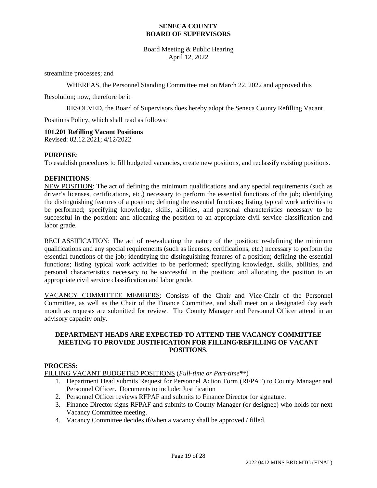Board Meeting & Public Hearing April 12, 2022

streamline processes; and

WHEREAS, the Personnel Standing Committee met on March 22, 2022 and approved this

Resolution; now, therefore be it

RESOLVED, the Board of Supervisors does hereby adopt the Seneca County Refilling Vacant

Positions Policy, which shall read as follows:

## **101.201 Refilling Vacant Positions**

Revised: 02.12.2021; 4/12/2022

#### **PURPOSE**:

To establish procedures to fill budgeted vacancies, create new positions, and reclassify existing positions.

#### **DEFINITIONS**:

NEW POSITION: The act of defining the minimum qualifications and any special requirements (such as driver's licenses, certifications, etc.) necessary to perform the essential functions of the job; identifying the distinguishing features of a position; defining the essential functions; listing typical work activities to be performed; specifying knowledge, skills, abilities, and personal characteristics necessary to be successful in the position; and allocating the position to an appropriate civil service classification and labor grade.

RECLASSIFICATION: The act of re-evaluating the nature of the position; re-defining the minimum qualifications and any special requirements (such as licenses, certifications, etc.) necessary to perform the essential functions of the job; identifying the distinguishing features of a position; defining the essential functions; listing typical work activities to be performed; specifying knowledge, skills, abilities, and personal characteristics necessary to be successful in the position; and allocating the position to an appropriate civil service classification and labor grade.

VACANCY COMMITTEE MEMBERS: Consists of the Chair and Vice-Chair of the Personnel Committee, as well as the Chair of the Finance Committee, and shall meet on a designated day each month as requests are submitted for review. The County Manager and Personnel Officer attend in an advisory capacity only.

#### **DEPARTMENT HEADS ARE EXPECTED TO ATTEND THE VACANCY COMMITTEE MEETING TO PROVIDE JUSTIFICATION FOR FILLING/REFILLING OF VACANT POSITIONS**.

## **PROCESS:**

FILLING VACANT BUDGETED POSITIONS (*Full-time or Part-time\*\**)

- 1. Department Head submits Request for Personnel Action Form (RFPAF) to County Manager and Personnel Officer. Documents to include: Justification
- 2. Personnel Officer reviews RFPAF and submits to Finance Director for signature.
- 3. Finance Director signs RFPAF and submits to County Manager (or designee) who holds for next Vacancy Committee meeting.
- 4. Vacancy Committee decides if/when a vacancy shall be approved / filled.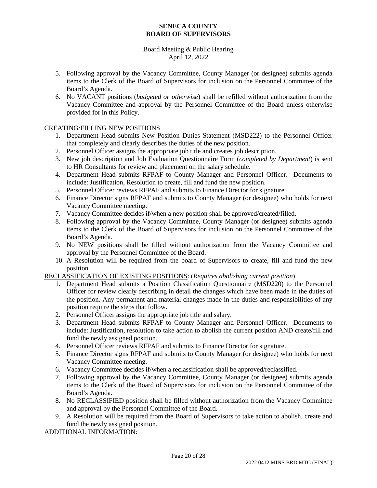## Board Meeting & Public Hearing April 12, 2022

- 5. Following approval by the Vacancy Committee, County Manager (or designee) submits agenda items to the Clerk of the Board of Supervisors for inclusion on the Personnel Committee of the Board's Agenda.
- 6. No VACANT positions (*budgeted or otherwise*) shall be refilled without authorization from the Vacancy Committee and approval by the Personnel Committee of the Board unless otherwise provided for in this Policy.

# CREATING/FILLING NEW POSITIONS

- 1. Department Head submits New Position Duties Statement (MSD222) to the Personnel Officer that completely and clearly describes the duties of the new position.
- 2. Personnel Officer assigns the appropriate job title and creates job description.
- 3. New job description and Job Evaluation Questionnaire Form (*completed by Department*) is sent to HR Consultants for review and placement on the salary schedule.
- 4. Department Head submits RFPAF to County Manager and Personnel Officer. Documents to include: Justification, Resolution to create, fill and fund the new position.
- 5. Personnel Officer reviews RFPAF and submits to Finance Director for signature.
- 6. Finance Director signs RFPAF and submits to County Manager (or designee) who holds for next Vacancy Committee meeting.
- 7. Vacancy Committee decides if/when a new position shall be approved/created/filled.
- 8. Following approval by the Vacancy Committee, County Manager (or designee) submits agenda items to the Clerk of the Board of Supervisors for inclusion on the Personnel Committee of the Board's Agenda.
- 9. No NEW positions shall be filled without authorization from the Vacancy Committee and approval by the Personnel Committee of the Board.
- 10. A Resolution will be required from the board of Supervisors to create, fill and fund the new position.

RECLASSIFICATION OF EXISTING POSITIONS: (*Requires abolishing current position*)

- 1. Department Head submits a Position Classification Questionnaire (MSD220) to the Personnel Officer for review clearly describing in detail the changes which have been made in the duties of the position. Any permanent and material changes made in the duties and responsibilities of any position require the steps that follow.
- 2. Personnel Officer assigns the appropriate job title and salary.
- 3. Department Head submits RFPAF to County Manager and Personnel Officer. Documents to include: Justification, resolution to take action to abolish the current position AND create/fill and fund the newly assigned position.
- 4. Personnel Officer reviews RFPAF and submits to Finance Director for signature.
- 5. Finance Director signs RFPAF and submits to County Manager (or designee) who holds for next Vacancy Committee meeting.
- 6. Vacancy Committee decides if/when a reclassification shall be approved/reclassified.
- 7. Following approval by the Vacancy Committee, County Manager (or designee) submits agenda items to the Clerk of the Board of Supervisors for inclusion on the Personnel Committee of the Board's Agenda.
- 8. No RECLASSIFIED position shall be filled without authorization from the Vacancy Committee and approval by the Personnel Committee of the Board.
- 9. A Resolution will be required from the Board of Supervisors to take action to abolish, create and fund the newly assigned position.

ADDITIONAL INFORMATION: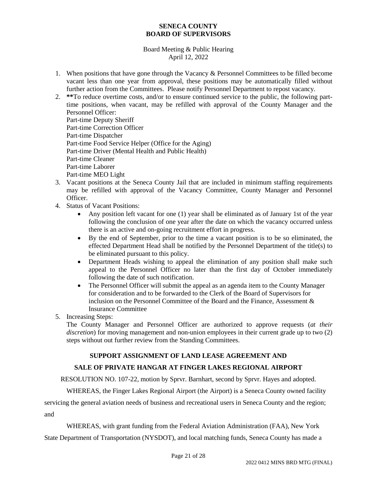## Board Meeting & Public Hearing April 12, 2022

- 1. When positions that have gone through the Vacancy & Personnel Committees to be filled become vacant less than one year from approval, these positions may be automatically filled without further action from the Committees. Please notify Personnel Department to repost vacancy.
- 2. **\*\***To reduce overtime costs, and/or to ensure continued service to the public, the following parttime positions, when vacant, may be refilled with approval of the County Manager and the Personnel Officer: Part-time Deputy Sheriff

Part-time Correction Officer Part-time Dispatcher Part-time Food Service Helper (Office for the Aging) Part-time Driver (Mental Health and Public Health) Part-time Cleaner Part-time Laborer Part-time MEO Light

- 3. Vacant positions at the Seneca County Jail that are included in minimum staffing requirements may be refilled with approval of the Vacancy Committee, County Manager and Personnel Officer.
- 4. Status of Vacant Positions:
	- Any position left vacant for one (1) year shall be eliminated as of January 1st of the year following the conclusion of one year after the date on which the vacancy occurred unless there is an active and on-going recruitment effort in progress.
	- By the end of September, prior to the time a vacant position is to be so eliminated, the effected Department Head shall be notified by the Personnel Department of the title(s) to be eliminated pursuant to this policy.
	- Department Heads wishing to appeal the elimination of any position shall make such appeal to the Personnel Officer no later than the first day of October immediately following the date of such notification.
	- The Personnel Officer will submit the appeal as an agenda item to the County Manager for consideration and to be forwarded to the Clerk of the Board of Supervisors for inclusion on the Personnel Committee of the Board and the Finance, Assessment & Insurance Committee
- 5. Increasing Steps:

The County Manager and Personnel Officer are authorized to approve requests (*at their discretion*) for moving management and non-union employees in their current grade up to two (2) steps without out further review from the Standing Committees.

# **SUPPORT ASSIGNMENT OF LAND LEASE AGREEMENT AND**

# **SALE OF PRIVATE HANGAR AT FINGER LAKES REGIONAL AIRPORT**

RESOLUTION NO. 107-22, motion by Sprvr. Barnhart, second by Sprvr. Hayes and adopted.

WHEREAS, the Finger Lakes Regional Airport (the Airport) is a Seneca County owned facility

servicing the general aviation needs of business and recreational users in Seneca County and the region; and

WHEREAS, with grant funding from the Federal Aviation Administration (FAA), New York

State Department of Transportation (NYSDOT), and local matching funds, Seneca County has made a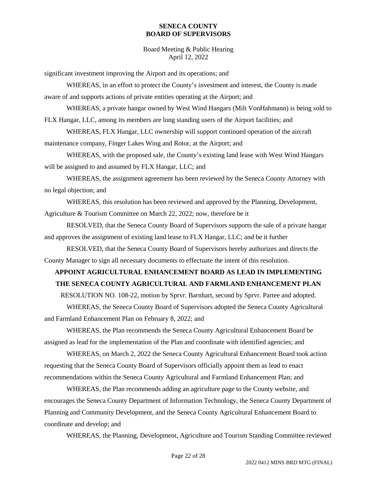Board Meeting & Public Hearing April 12, 2022

significant investment improving the Airport and its operations; and

WHEREAS, in an effort to protect the County's investment and interest, the County is made aware of and supports actions of private entities operating at the Airport; and

WHEREAS, a private hangar owned by West Wind Hangars (Milt VonHahmann) is being sold to FLX Hangar, LLC, among its members are long standing users of the Airport facilities; and

WHEREAS, FLX Hangar, LLC ownership will support continued operation of the aircraft maintenance company, Finger Lakes Wing and Rotor, at the Airport; and

WHEREAS, with the proposed sale, the County's existing land lease with West Wind Hangars will be assigned to and assumed by FLX Hangar, LLC; and

WHEREAS, the assignment agreement has been reviewed by the Seneca County Attorney with no legal objection; and

WHEREAS, this resolution has been reviewed and approved by the Planning, Development, Agriculture & Tourism Committee on March 22, 2022; now, therefore be it

RESOLVED, that the Seneca County Board of Supervisors supports the sale of a private hangar and approves the assignment of existing land lease to FLX Hangar, LLC; and be it further

RESOLVED, that the Seneca County Board of Supervisors hereby authorizes and directs the County Manager to sign all necessary documents to effectuate the intent of this resolution.

# **APPOINT AGRICULTURAL ENHANCEMENT BOARD AS LEAD IN IMPLEMENTING THE SENECA COUNTY AGRICULTURAL AND FARMLAND ENHANCEMENT PLAN**

RESOLUTION NO. 108-22, motion by Sprvr. Barnhart, second by Sprvr. Partee and adopted.

WHEREAS, the Seneca County Board of Supervisors adopted the Seneca County Agricultural and Farmland Enhancement Plan on February 8, 2022; and

WHEREAS, the Plan recommends the Seneca County Agricultural Enhancement Board be assigned as lead for the implementation of the Plan and coordinate with identified agencies; and

WHEREAS, on March 2, 2022 the Seneca County Agricultural Enhancement Board took action requesting that the Seneca County Board of Supervisors officially appoint them as lead to enact recommendations within the Seneca County Agricultural and Farmland Enhancement Plan; and

WHEREAS, the Plan recommends adding an agriculture page to the County website, and encourages the Seneca County Department of Information Technology, the Seneca County Department of Planning and Community Development, and the Seneca County Agricultural Enhancement Board to coordinate and develop; and

WHEREAS, the Planning, Development, Agriculture and Tourism Standing Committee reviewed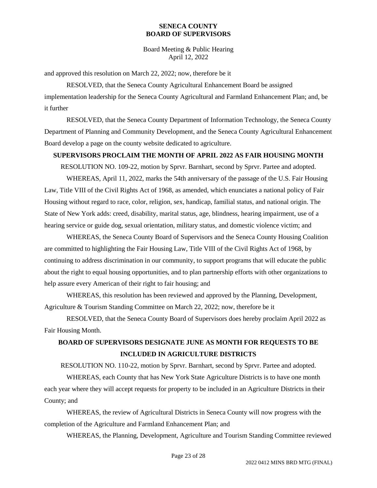Board Meeting & Public Hearing April 12, 2022

and approved this resolution on March 22, 2022; now, therefore be it

RESOLVED, that the Seneca County Agricultural Enhancement Board be assigned implementation leadership for the Seneca County Agricultural and Farmland Enhancement Plan; and, be it further

RESOLVED, that the Seneca County Department of Information Technology, the Seneca County Department of Planning and Community Development, and the Seneca County Agricultural Enhancement Board develop a page on the county website dedicated to agriculture.

## **SUPERVISORS PROCLAIM THE MONTH OF APRIL 2022 AS FAIR HOUSING MONTH**

RESOLUTION NO. 109-22, motion by Sprvr. Barnhart, second by Sprvr. Partee and adopted.

WHEREAS, April 11, 2022, marks the 54th anniversary of the passage of the U.S. Fair Housing Law, Title VIII of the Civil Rights Act of 1968, as amended, which enunciates a national policy of Fair Housing without regard to race, color, religion, sex, handicap, familial status, and national origin. The State of New York adds: creed, disability, marital status, age, blindness, hearing impairment, use of a hearing service or guide dog, sexual orientation, military status, and domestic violence victim; and

WHEREAS, the Seneca County Board of Supervisors and the Seneca County Housing Coalition are committed to highlighting the Fair Housing Law, Title VIII of the Civil Rights Act of 1968, by continuing to address discrimination in our community, to support programs that will educate the public about the right to equal housing opportunities, and to plan partnership efforts with other organizations to help assure every American of their right to fair housing; and

WHEREAS, this resolution has been reviewed and approved by the Planning, Development, Agriculture & Tourism Standing Committee on March 22, 2022; now, therefore be it

RESOLVED, that the Seneca County Board of Supervisors does hereby proclaim April 2022 as Fair Housing Month.

# **BOARD OF SUPERVISORS DESIGNATE JUNE AS MONTH FOR REQUESTS TO BE INCLUDED IN AGRICULTURE DISTRICTS**

RESOLUTION NO. 110-22, motion by Sprvr. Barnhart, second by Sprvr. Partee and adopted.

WHEREAS, each County that has New York State Agriculture Districts is to have one month each year where they will accept requests for property to be included in an Agriculture Districts in their County; and

WHEREAS, the review of Agricultural Districts in Seneca County will now progress with the completion of the Agriculture and Farmland Enhancement Plan; and

WHEREAS, the Planning, Development, Agriculture and Tourism Standing Committee reviewed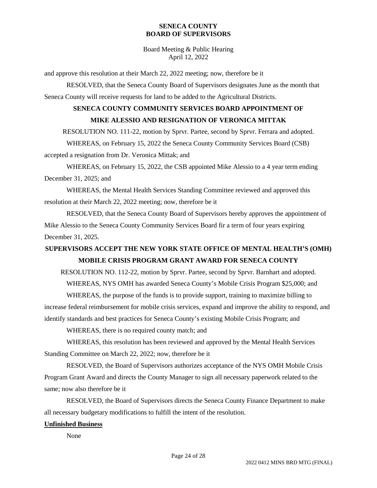Board Meeting & Public Hearing April 12, 2022

and approve this resolution at their March 22, 2022 meeting; now, therefore be it

RESOLVED, that the Seneca County Board of Supervisors designates June as the month that Seneca County will receive requests for land to be added to the Agricultural Districts.

# **SENECA COUNTY COMMUNITY SERVICES BOARD APPOINTMENT OF MIKE ALESSIO AND RESIGNATION OF VERONICA MITTAK**

RESOLUTION NO. 111-22, motion by Sprvr. Partee, second by Sprvr. Ferrara and adopted.

WHEREAS, on February 15, 2022 the Seneca County Community Services Board (CSB) accepted a resignation from Dr. Veronica Mittak; and

WHEREAS, on February 15, 2022, the CSB appointed Mike Alessio to a 4 year term ending December 31, 2025; and

WHEREAS, the Mental Health Services Standing Committee reviewed and approved this resolution at their March 22, 2022 meeting; now, therefore be it

RESOLVED, that the Seneca County Board of Supervisors hereby approves the appointment of Mike Alessio to the Seneca County Community Services Board fir a term of four years expiring December 31, 2025.

# **SUPERVISORS ACCEPT THE NEW YORK STATE OFFICE OF MENTAL HEALTH'S (OMH) MOBILE CRISIS PROGRAM GRANT AWARD FOR SENECA COUNTY**

RESOLUTION NO. 112-22, motion by Sprvr. Partee, second by Sprvr. Barnhart and adopted.

WHEREAS, NYS OMH has awarded Seneca County's Mobile Crisis Program \$25,000; and

WHEREAS, the purpose of the funds is to provide support, training to maximize billing to increase federal reimbursement for mobile crisis services, expand and improve the ability to respond, and identify standards and best practices for Seneca County's existing Mobile Crisis Program; and

WHEREAS, there is no required county match; and

WHEREAS, this resolution has been reviewed and approved by the Mental Health Services Standing Committee on March 22, 2022; now, therefore be it

RESOLVED, the Board of Supervisors authorizes acceptance of the NYS OMH Mobile Crisis Program Grant Award and directs the County Manager to sign all necessary paperwork related to the same; now also therefore be it

RESOLVED, the Board of Supervisors directs the Seneca County Finance Department to make all necessary budgetary modifications to fulfill the intent of the resolution.

## **Unfinished Business**

None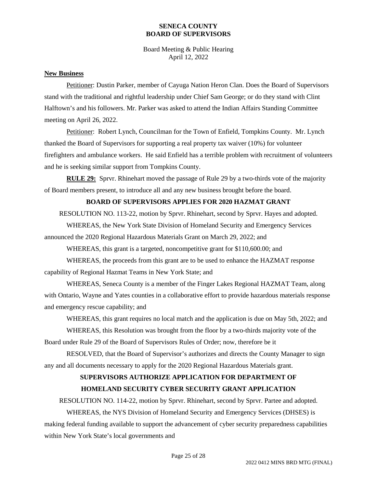Board Meeting & Public Hearing April 12, 2022

#### **New Business**

Petitioner: Dustin Parker, member of Cayuga Nation Heron Clan. Does the Board of Supervisors stand with the traditional and rightful leadership under Chief Sam George; or do they stand with Clint Halftown's and his followers. Mr. Parker was asked to attend the Indian Affairs Standing Committee meeting on April 26, 2022.

Petitioner: Robert Lynch, Councilman for the Town of Enfield, Tompkins County. Mr. Lynch thanked the Board of Supervisors for supporting a real property tax waiver (10%) for volunteer firefighters and ambulance workers. He said Enfield has a terrible problem with recruitment of volunteers and he is seeking similar support from Tompkins County.

**RULE 29:** Sprvr. Rhinehart moved the passage of Rule 29 by a two-thirds vote of the majority of Board members present, to introduce all and any new business brought before the board.

## **BOARD OF SUPERVISORS APPLIES FOR 2020 HAZMAT GRANT**

RESOLUTION NO. 113-22, motion by Sprvr. Rhinehart, second by Sprvr. Hayes and adopted.

WHEREAS, the New York State Division of Homeland Security and Emergency Services announced the 2020 Regional Hazardous Materials Grant on March 29, 2022; and

WHEREAS, this grant is a targeted, noncompetitive grant for \$110,600.00; and

WHEREAS, the proceeds from this grant are to be used to enhance the HAZMAT response capability of Regional Hazmat Teams in New York State; and

WHEREAS, Seneca County is a member of the Finger Lakes Regional HAZMAT Team, along with Ontario, Wayne and Yates counties in a collaborative effort to provide hazardous materials response and emergency rescue capability; and

WHEREAS, this grant requires no local match and the application is due on May 5th, 2022; and

WHEREAS, this Resolution was brought from the floor by a two-thirds majority vote of the Board under Rule 29 of the Board of Supervisors Rules of Order; now, therefore be it

RESOLVED, that the Board of Supervisor's authorizes and directs the County Manager to sign any and all documents necessary to apply for the 2020 Regional Hazardous Materials grant.

# **SUPERVISORS AUTHORIZE APPLICATION FOR DEPARTMENT OF HOMELAND SECURITY CYBER SECURITY GRANT APPLICATION**

RESOLUTION NO. 114-22, motion by Sprvr. Rhinehart, second by Sprvr. Partee and adopted.

WHEREAS, the NYS Division of Homeland Security and Emergency Services (DHSES) is making federal funding available to support the advancement of cyber security preparedness capabilities within New York State's local governments and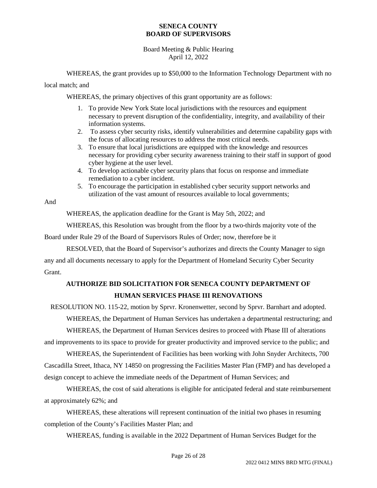## Board Meeting & Public Hearing April 12, 2022

WHEREAS, the grant provides up to \$50,000 to the Information Technology Department with no

local match; and

WHEREAS, the primary objectives of this grant opportunity are as follows:

- 1. To provide New York State local jurisdictions with the resources and equipment necessary to prevent disruption of the confidentiality, integrity, and availability of their information systems.
- 2. To assess cyber security risks, identify vulnerabilities and determine capability gaps with the focus of allocating resources to address the most critical needs.
- 3. To ensure that local jurisdictions are equipped with the knowledge and resources necessary for providing cyber security awareness training to their staff in support of good cyber hygiene at the user level.
- 4. To develop actionable cyber security plans that focus on response and immediate remediation to a cyber incident.
- 5. To encourage the participation in established cyber security support networks and utilization of the vast amount of resources available to local governments;

And

WHEREAS, the application deadline for the Grant is May 5th, 2022; and

WHEREAS, this Resolution was brought from the floor by a two-thirds majority vote of the

Board under Rule 29 of the Board of Supervisors Rules of Order; now, therefore be it

RESOLVED, that the Board of Supervisor's authorizes and directs the County Manager to sign any and all documents necessary to apply for the Department of Homeland Security Cyber Security Grant.

# **AUTHORIZE BID SOLICITATION FOR SENECA COUNTY DEPARTMENT OF HUMAN SERVICES PHASE III RENOVATIONS**

RESOLUTION NO. 115-22, motion by Sprvr. Kronenwetter, second by Sprvr. Barnhart and adopted.

WHEREAS, the Department of Human Services has undertaken a departmental restructuring; and

WHEREAS, the Department of Human Services desires to proceed with Phase III of alterations and improvements to its space to provide for greater productivity and improved service to the public; and

WHEREAS, the Superintendent of Facilities has been working with John Snyder Architects, 700 Cascadilla Street, Ithaca, NY 14850 on progressing the Facilities Master Plan (FMP) and has developed a design concept to achieve the immediate needs of the Department of Human Services; and

WHEREAS, the cost of said alterations is eligible for anticipated federal and state reimbursement at approximately 62%; and

WHEREAS, these alterations will represent continuation of the initial two phases in resuming completion of the County's Facilities Master Plan; and

WHEREAS, funding is available in the 2022 Department of Human Services Budget for the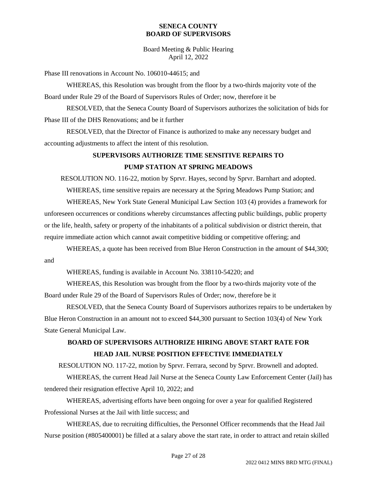Board Meeting & Public Hearing April 12, 2022

Phase III renovations in Account No. 106010-44615; and

WHEREAS, this Resolution was brought from the floor by a two-thirds majority vote of the Board under Rule 29 of the Board of Supervisors Rules of Order; now, therefore it be

RESOLVED, that the Seneca County Board of Supervisors authorizes the solicitation of bids for Phase III of the DHS Renovations; and be it further

RESOLVED, that the Director of Finance is authorized to make any necessary budget and accounting adjustments to affect the intent of this resolution.

# **SUPERVISORS AUTHORIZE TIME SENSITIVE REPAIRS TO PUMP STATION AT SPRING MEADOWS**

RESOLUTION NO. 116-22, motion by Sprvr. Hayes, second by Sprvr. Barnhart and adopted.

WHEREAS, time sensitive repairs are necessary at the Spring Meadows Pump Station; and

WHEREAS, New York State General Municipal Law Section 103 (4) provides a framework for unforeseen occurrences or conditions whereby circumstances affecting public buildings, public property or the life, health, safety or property of the inhabitants of a political subdivision or district therein, that require immediate action which cannot await competitive bidding or competitive offering; and

WHEREAS, a quote has been received from Blue Heron Construction in the amount of \$44,300; and

WHEREAS, funding is available in Account No. 338110-54220; and

WHEREAS, this Resolution was brought from the floor by a two-thirds majority vote of the Board under Rule 29 of the Board of Supervisors Rules of Order; now, therefore be it

RESOLVED, that the Seneca County Board of Supervisors authorizes repairs to be undertaken by Blue Heron Construction in an amount not to exceed \$44,300 pursuant to Section 103(4) of New York State General Municipal Law.

# **BOARD OF SUPERVISORS AUTHORIZE HIRING ABOVE START RATE FOR HEAD JAIL NURSE POSITION EFFECTIVE IMMEDIATELY**

RESOLUTION NO. 117-22, motion by Sprvr. Ferrara, second by Sprvr. Brownell and adopted.

WHEREAS, the current Head Jail Nurse at the Seneca County Law Enforcement Center (Jail) has tendered their resignation effective April 10, 2022; and

WHEREAS, advertising efforts have been ongoing for over a year for qualified Registered Professional Nurses at the Jail with little success; and

WHEREAS, due to recruiting difficulties, the Personnel Officer recommends that the Head Jail Nurse position (#805400001) be filled at a salary above the start rate, in order to attract and retain skilled